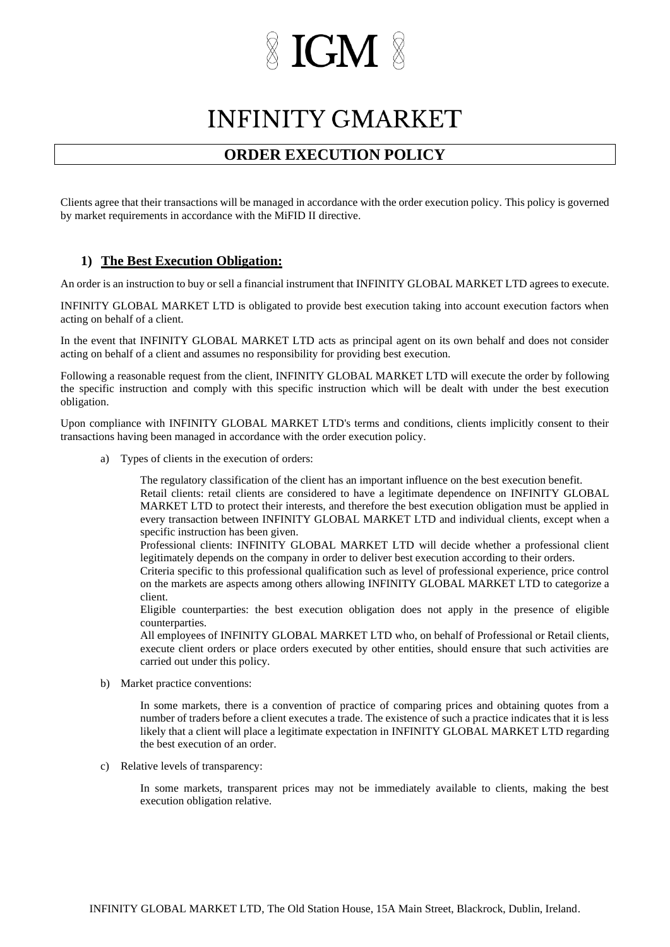### **INFINITY GMARKET**

### **ORDER EXECUTION POLICY**

Clients agree that their transactions will be managed in accordance with the order execution policy. This policy is governed by market requirements in accordance with the MiFID II directive.

#### **1) The Best Execution Obligation:**

An order is an instruction to buy or sell a financial instrument that INFINITY GLOBAL MARKET LTD agrees to execute.

INFINITY GLOBAL MARKET LTD is obligated to provide best execution taking into account execution factors when acting on behalf of a client.

In the event that INFINITY GLOBAL MARKET LTD acts as principal agent on its own behalf and does not consider acting on behalf of a client and assumes no responsibility for providing best execution.

Following a reasonable request from the client, INFINITY GLOBAL MARKET LTD will execute the order by following the specific instruction and comply with this specific instruction which will be dealt with under the best execution obligation.

Upon compliance with INFINITY GLOBAL MARKET LTD's terms and conditions, clients implicitly consent to their transactions having been managed in accordance with the order execution policy.

a) Types of clients in the execution of orders:

The regulatory classification of the client has an important influence on the best execution benefit. Retail clients: retail clients are considered to have a legitimate dependence on INFINITY GLOBAL MARKET LTD to protect their interests, and therefore the best execution obligation must be applied in every transaction between INFINITY GLOBAL MARKET LTD and individual clients, except when a specific instruction has been given.

Professional clients: INFINITY GLOBAL MARKET LTD will decide whether a professional client legitimately depends on the company in order to deliver best execution according to their orders.

Criteria specific to this professional qualification such as level of professional experience, price control on the markets are aspects among others allowing INFINITY GLOBAL MARKET LTD to categorize a client.

Eligible counterparties: the best execution obligation does not apply in the presence of eligible counterparties.

All employees of INFINITY GLOBAL MARKET LTD who, on behalf of Professional or Retail clients, execute client orders or place orders executed by other entities, should ensure that such activities are carried out under this policy.

b) Market practice conventions:

In some markets, there is a convention of practice of comparing prices and obtaining quotes from a number of traders before a client executes a trade. The existence of such a practice indicates that it is less likely that a client will place a legitimate expectation in INFINITY GLOBAL MARKET LTD regarding the best execution of an order.

c) Relative levels of transparency:

In some markets, transparent prices may not be immediately available to clients, making the best execution obligation relative.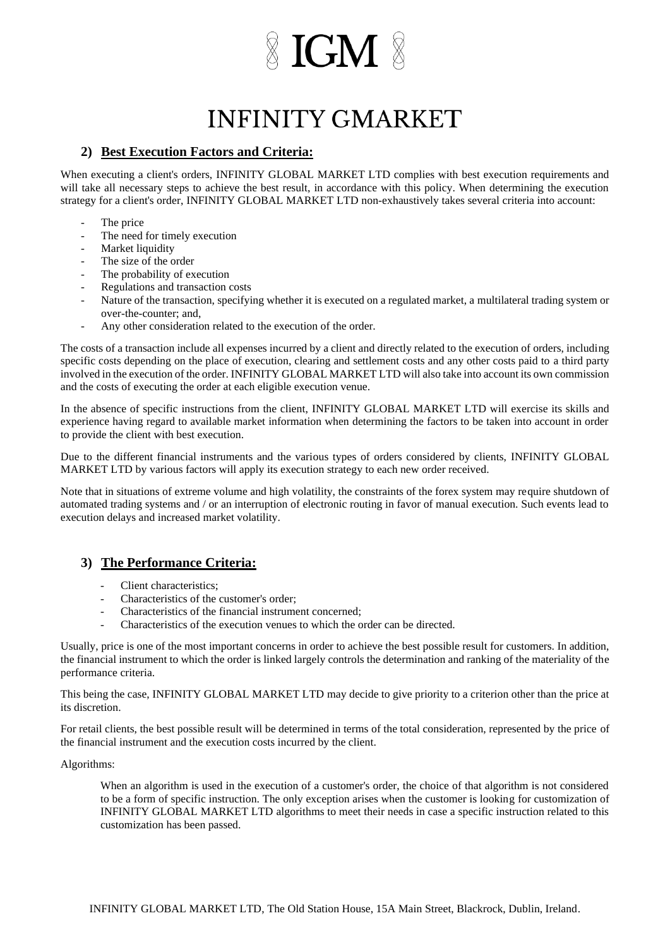## **INFINITY GMARKET**

#### **2) Best Execution Factors and Criteria:**

When executing a client's orders, INFINITY GLOBAL MARKET LTD complies with best execution requirements and will take all necessary steps to achieve the best result, in accordance with this policy. When determining the execution strategy for a client's order, INFINITY GLOBAL MARKET LTD non-exhaustively takes several criteria into account:

- The price
- The need for timely execution
- Market liquidity
- The size of the order
- The probability of execution
- Regulations and transaction costs
- Nature of the transaction, specifying whether it is executed on a regulated market, a multilateral trading system or over-the-counter; and,
- Any other consideration related to the execution of the order.

The costs of a transaction include all expenses incurred by a client and directly related to the execution of orders, including specific costs depending on the place of execution, clearing and settlement costs and any other costs paid to a third party involved in the execution of the order. INFINITY GLOBAL MARKET LTD will also take into account its own commission and the costs of executing the order at each eligible execution venue.

In the absence of specific instructions from the client, INFINITY GLOBAL MARKET LTD will exercise its skills and experience having regard to available market information when determining the factors to be taken into account in order to provide the client with best execution.

Due to the different financial instruments and the various types of orders considered by clients, INFINITY GLOBAL MARKET LTD by various factors will apply its execution strategy to each new order received.

Note that in situations of extreme volume and high volatility, the constraints of the forex system may require shutdown of automated trading systems and / or an interruption of electronic routing in favor of manual execution. Such events lead to execution delays and increased market volatility.

### **3) The Performance Criteria:**

- Client characteristics;
- Characteristics of the customer's order;
- Characteristics of the financial instrument concerned;
- Characteristics of the execution venues to which the order can be directed.

Usually, price is one of the most important concerns in order to achieve the best possible result for customers. In addition, the financial instrument to which the order is linked largely controls the determination and ranking of the materiality of the performance criteria.

This being the case, INFINITY GLOBAL MARKET LTD may decide to give priority to a criterion other than the price at its discretion.

For retail clients, the best possible result will be determined in terms of the total consideration, represented by the price of the financial instrument and the execution costs incurred by the client.

#### Algorithms:

When an algorithm is used in the execution of a customer's order, the choice of that algorithm is not considered to be a form of specific instruction. The only exception arises when the customer is looking for customization of INFINITY GLOBAL MARKET LTD algorithms to meet their needs in case a specific instruction related to this customization has been passed.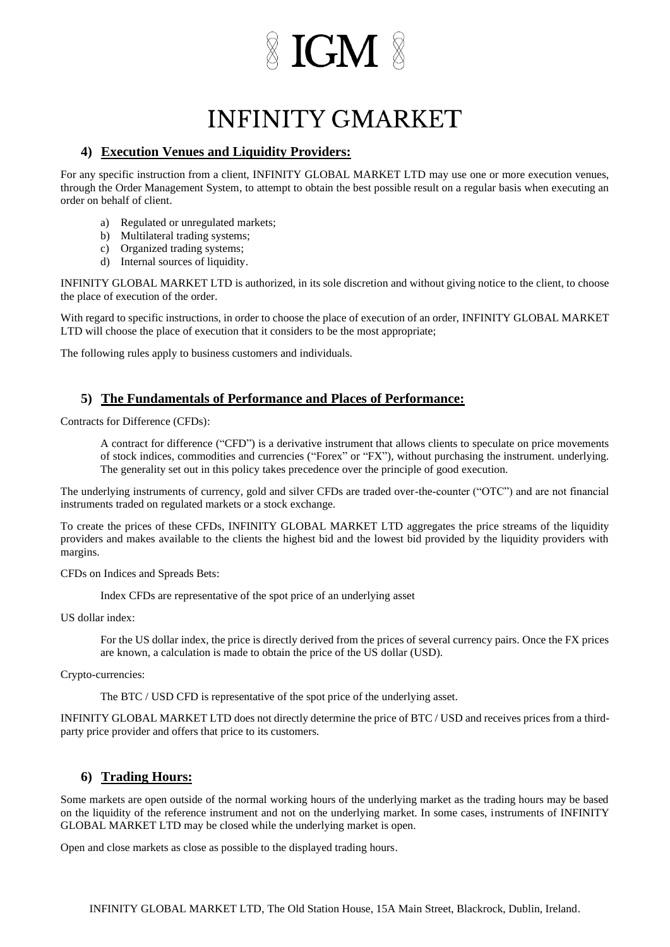## **INFINITY GMARKET**

#### **4) Execution Venues and Liquidity Providers:**

For any specific instruction from a client, INFINITY GLOBAL MARKET LTD may use one or more execution venues, through the Order Management System, to attempt to obtain the best possible result on a regular basis when executing an order on behalf of client.

- a) Regulated or unregulated markets;
- b) Multilateral trading systems;
- c) Organized trading systems;
- d) Internal sources of liquidity.

INFINITY GLOBAL MARKET LTD is authorized, in its sole discretion and without giving notice to the client, to choose the place of execution of the order.

With regard to specific instructions, in order to choose the place of execution of an order, INFINITY GLOBAL MARKET LTD will choose the place of execution that it considers to be the most appropriate;

The following rules apply to business customers and individuals.

### **5) The Fundamentals of Performance and Places of Performance:**

Contracts for Difference (CFDs):

A contract for difference ("CFD") is a derivative instrument that allows clients to speculate on price movements of stock indices, commodities and currencies ("Forex" or "FX"), without purchasing the instrument. underlying. The generality set out in this policy takes precedence over the principle of good execution.

The underlying instruments of currency, gold and silver CFDs are traded over-the-counter ("OTC") and are not financial instruments traded on regulated markets or a stock exchange.

To create the prices of these CFDs, INFINITY GLOBAL MARKET LTD aggregates the price streams of the liquidity providers and makes available to the clients the highest bid and the lowest bid provided by the liquidity providers with margins.

CFDs on Indices and Spreads Bets:

Index CFDs are representative of the spot price of an underlying asset

US dollar index:

For the US dollar index, the price is directly derived from the prices of several currency pairs. Once the FX prices are known, a calculation is made to obtain the price of the US dollar (USD).

Crypto-currencies:

The BTC / USD CFD is representative of the spot price of the underlying asset.

INFINITY GLOBAL MARKET LTD does not directly determine the price of BTC / USD and receives prices from a thirdparty price provider and offers that price to its customers.

#### **6) Trading Hours:**

Some markets are open outside of the normal working hours of the underlying market as the trading hours may be based on the liquidity of the reference instrument and not on the underlying market. In some cases, instruments of INFINITY GLOBAL MARKET LTD may be closed while the underlying market is open.

Open and close markets as close as possible to the displayed trading hours.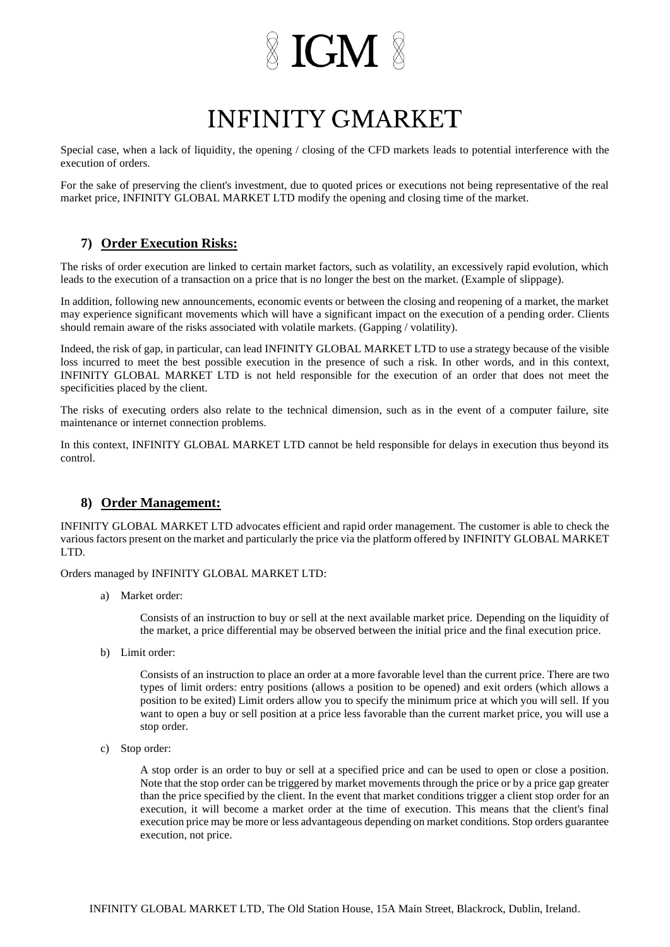## **INFINITY GMARKET**

Special case, when a lack of liquidity, the opening / closing of the CFD markets leads to potential interference with the execution of orders.

For the sake of preserving the client's investment, due to quoted prices or executions not being representative of the real market price, INFINITY GLOBAL MARKET LTD modify the opening and closing time of the market.

### **7) Order Execution Risks:**

The risks of order execution are linked to certain market factors, such as volatility, an excessively rapid evolution, which leads to the execution of a transaction on a price that is no longer the best on the market. (Example of slippage).

In addition, following new announcements, economic events or between the closing and reopening of a market, the market may experience significant movements which will have a significant impact on the execution of a pending order. Clients should remain aware of the risks associated with volatile markets. (Gapping / volatility).

Indeed, the risk of gap, in particular, can lead INFINITY GLOBAL MARKET LTD to use a strategy because of the visible loss incurred to meet the best possible execution in the presence of such a risk. In other words, and in this context, INFINITY GLOBAL MARKET LTD is not held responsible for the execution of an order that does not meet the specificities placed by the client.

The risks of executing orders also relate to the technical dimension, such as in the event of a computer failure, site maintenance or internet connection problems.

In this context, INFINITY GLOBAL MARKET LTD cannot be held responsible for delays in execution thus beyond its control.

### **8) Order Management:**

INFINITY GLOBAL MARKET LTD advocates efficient and rapid order management. The customer is able to check the various factors present on the market and particularly the price via the platform offered by INFINITY GLOBAL MARKET LTD.

Orders managed by INFINITY GLOBAL MARKET LTD:

a) Market order:

Consists of an instruction to buy or sell at the next available market price. Depending on the liquidity of the market, a price differential may be observed between the initial price and the final execution price.

b) Limit order:

Consists of an instruction to place an order at a more favorable level than the current price. There are two types of limit orders: entry positions (allows a position to be opened) and exit orders (which allows a position to be exited) Limit orders allow you to specify the minimum price at which you will sell. If you want to open a buy or sell position at a price less favorable than the current market price, you will use a stop order.

c) Stop order:

A stop order is an order to buy or sell at a specified price and can be used to open or close a position. Note that the stop order can be triggered by market movements through the price or by a price gap greater than the price specified by the client. In the event that market conditions trigger a client stop order for an execution, it will become a market order at the time of execution. This means that the client's final execution price may be more or less advantageous depending on market conditions. Stop orders guarantee execution, not price.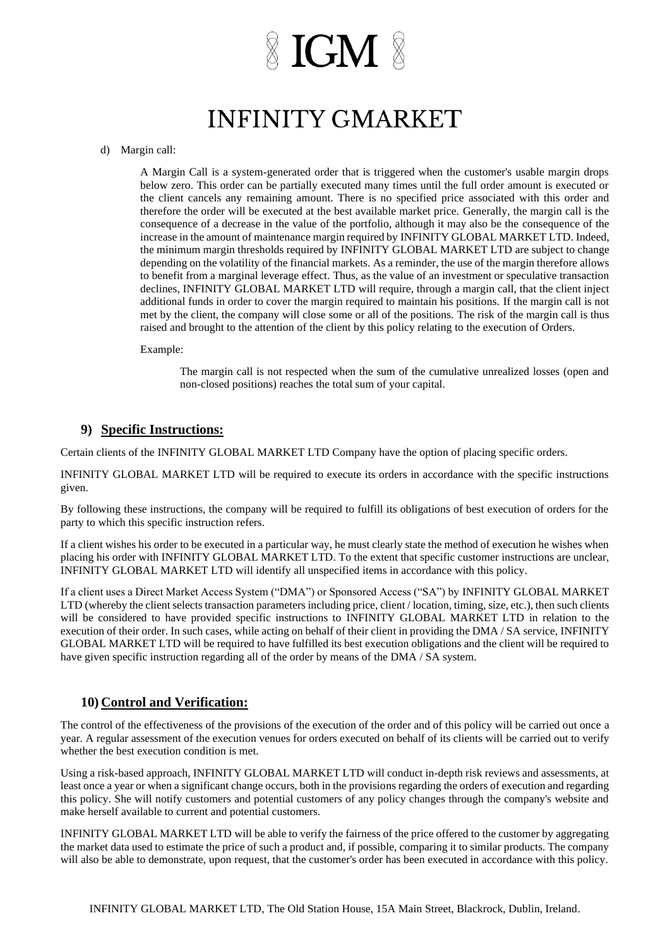## **INFINITY GMARKET**

#### d) Margin call:

A Margin Call is a system-generated order that is triggered when the customer's usable margin drops below zero. This order can be partially executed many times until the full order amount is executed or the client cancels any remaining amount. There is no specified price associated with this order and therefore the order will be executed at the best available market price. Generally, the margin call is the consequence of a decrease in the value of the portfolio, although it may also be the consequence of the increase in the amount of maintenance margin required by INFINITY GLOBAL MARKET LTD. Indeed, the minimum margin thresholds required by INFINITY GLOBAL MARKET LTD are subject to change depending on the volatility of the financial markets. As a reminder, the use of the margin therefore allows to benefit from a marginal leverage effect. Thus, as the value of an investment or speculative transaction declines, INFINITY GLOBAL MARKET LTD will require, through a margin call, that the client inject additional funds in order to cover the margin required to maintain his positions. If the margin call is not met by the client, the company will close some or all of the positions. The risk of the margin call is thus raised and brought to the attention of the client by this policy relating to the execution of Orders.

Example:

The margin call is not respected when the sum of the cumulative unrealized losses (open and non-closed positions) reaches the total sum of your capital.

#### **9) Specific Instructions:**

Certain clients of the INFINITY GLOBAL MARKET LTD Company have the option of placing specific orders.

INFINITY GLOBAL MARKET LTD will be required to execute its orders in accordance with the specific instructions given.

By following these instructions, the company will be required to fulfill its obligations of best execution of orders for the party to which this specific instruction refers.

If a client wishes his order to be executed in a particular way, he must clearly state the method of execution he wishes when placing his order with INFINITY GLOBAL MARKET LTD. To the extent that specific customer instructions are unclear, INFINITY GLOBAL MARKET LTD will identify all unspecified items in accordance with this policy.

If a client uses a Direct Market Access System ("DMA") or Sponsored Access ("SA") by INFINITY GLOBAL MARKET LTD (whereby the client selects transaction parameters including price, client / location, timing, size, etc.), then such clients will be considered to have provided specific instructions to INFINITY GLOBAL MARKET LTD in relation to the execution of their order. In such cases, while acting on behalf of their client in providing the DMA / SA service, INFINITY GLOBAL MARKET LTD will be required to have fulfilled its best execution obligations and the client will be required to have given specific instruction regarding all of the order by means of the DMA / SA system.

#### **10) Control and Verification:**

The control of the effectiveness of the provisions of the execution of the order and of this policy will be carried out once a year. A regular assessment of the execution venues for orders executed on behalf of its clients will be carried out to verify whether the best execution condition is met.

Using a risk-based approach, INFINITY GLOBAL MARKET LTD will conduct in-depth risk reviews and assessments, at least once a year or when a significant change occurs, both in the provisions regarding the orders of execution and regarding this policy. She will notify customers and potential customers of any policy changes through the company's website and make herself available to current and potential customers.

INFINITY GLOBAL MARKET LTD will be able to verify the fairness of the price offered to the customer by aggregating the market data used to estimate the price of such a product and, if possible, comparing it to similar products. The company will also be able to demonstrate, upon request, that the customer's order has been executed in accordance with this policy.